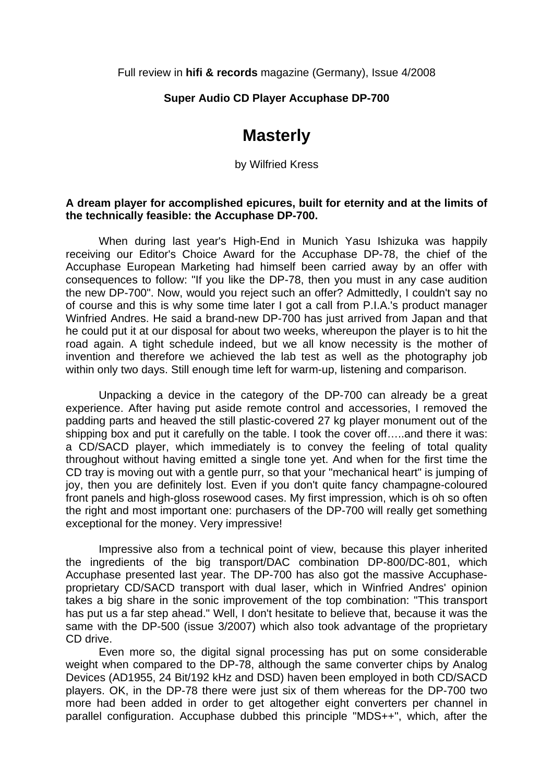Full review in **hifi & records** magazine (Germany), Issue 4/2008

## **Super Audio CD Player Accuphase DP-700**

## **Masterly**

by Wilfried Kress

## **A dream player for accomplished epicures, built for eternity and at the limits of the technically feasible: the Accuphase DP-700.**

 When during last year's High-End in Munich Yasu Ishizuka was happily receiving our Editor's Choice Award for the Accuphase DP-78, the chief of the Accuphase European Marketing had himself been carried away by an offer with consequences to follow: "If you like the DP-78, then you must in any case audition the new DP-700". Now, would you reject such an offer? Admittedly, I couldn't say no of course and this is why some time later I got a call from P.I.A.'s product manager Winfried Andres. He said a brand-new DP-700 has just arrived from Japan and that he could put it at our disposal for about two weeks, whereupon the player is to hit the road again. A tight schedule indeed, but we all know necessity is the mother of invention and therefore we achieved the lab test as well as the photography job within only two days. Still enough time left for warm-up, listening and comparison.

 Unpacking a device in the category of the DP-700 can already be a great experience. After having put aside remote control and accessories, I removed the padding parts and heaved the still plastic-covered 27 kg player monument out of the shipping box and put it carefully on the table. I took the cover off…..and there it was: a CD/SACD player, which immediately is to convey the feeling of total quality throughout without having emitted a single tone yet. And when for the first time the CD tray is moving out with a gentle purr, so that your "mechanical heart" is jumping of joy, then you are definitely lost. Even if you don't quite fancy champagne-coloured front panels and high-gloss rosewood cases. My first impression, which is oh so often the right and most important one: purchasers of the DP-700 will really get something exceptional for the money. Very impressive!

 Impressive also from a technical point of view, because this player inherited the ingredients of the big transport/DAC combination DP-800/DC-801, which Accuphase presented last year. The DP-700 has also got the massive Accuphaseproprietary CD/SACD transport with dual laser, which in Winfried Andres' opinion takes a big share in the sonic improvement of the top combination: "This transport has put us a far step ahead." Well, I don't hesitate to believe that, because it was the same with the DP-500 (issue 3/2007) which also took advantage of the proprietary CD drive.

 Even more so, the digital signal processing has put on some considerable weight when compared to the DP-78, although the same converter chips by Analog Devices (AD1955, 24 Bit/192 kHz and DSD) haven been employed in both CD/SACD players. OK, in the DP-78 there were just six of them whereas for the DP-700 two more had been added in order to get altogether eight converters per channel in parallel configuration. Accuphase dubbed this principle "MDS++", which, after the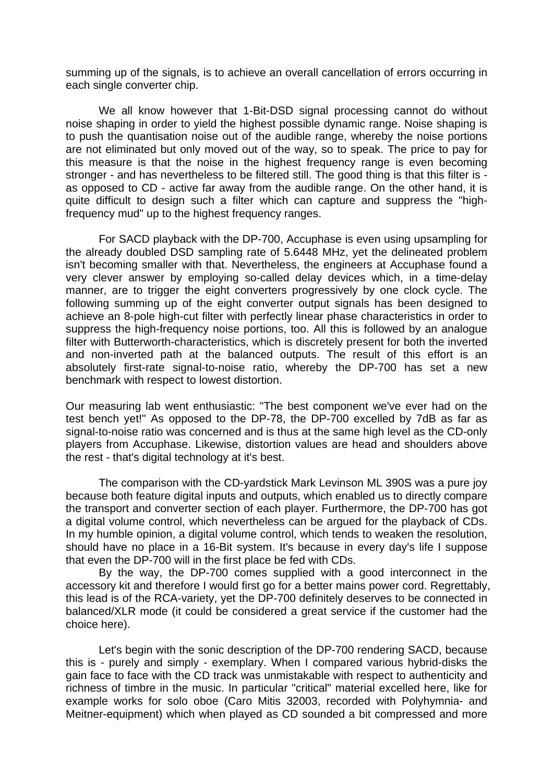summing up of the signals, is to achieve an overall cancellation of errors occurring in each single converter chip.

 We all know however that 1-Bit-DSD signal processing cannot do without noise shaping in order to yield the highest possible dynamic range. Noise shaping is to push the quantisation noise out of the audible range, whereby the noise portions are not eliminated but only moved out of the way, so to speak. The price to pay for this measure is that the noise in the highest frequency range is even becoming stronger - and has nevertheless to be filtered still. The good thing is that this filter is as opposed to CD - active far away from the audible range. On the other hand, it is quite difficult to design such a filter which can capture and suppress the "highfrequency mud" up to the highest frequency ranges.

 For SACD playback with the DP-700, Accuphase is even using upsampling for the already doubled DSD sampling rate of 5.6448 MHz, yet the delineated problem isn't becoming smaller with that. Nevertheless, the engineers at Accuphase found a very clever answer by employing so-called delay devices which, in a time-delay manner, are to trigger the eight converters progressively by one clock cycle. The following summing up of the eight converter output signals has been designed to achieve an 8-pole high-cut filter with perfectly linear phase characteristics in order to suppress the high-frequency noise portions, too. All this is followed by an analogue filter with Butterworth-characteristics, which is discretely present for both the inverted and non-inverted path at the balanced outputs. The result of this effort is an absolutely first-rate signal-to-noise ratio, whereby the DP-700 has set a new benchmark with respect to lowest distortion.

Our measuring lab went enthusiastic: "The best component we've ever had on the test bench yet!" As opposed to the DP-78, the DP-700 excelled by 7dB as far as signal-to-noise ratio was concerned and is thus at the same high level as the CD-only players from Accuphase. Likewise, distortion values are head and shoulders above the rest - that's digital technology at it's best.

 The comparison with the CD-yardstick Mark Levinson ML 390S was a pure joy because both feature digital inputs and outputs, which enabled us to directly compare the transport and converter section of each player. Furthermore, the DP-700 has got a digital volume control, which nevertheless can be argued for the playback of CDs. In my humble opinion, a digital volume control, which tends to weaken the resolution, should have no place in a 16-Bit system. It's because in every day's life I suppose that even the DP-700 will in the first place be fed with CDs.

 By the way, the DP-700 comes supplied with a good interconnect in the accessory kit and therefore I would first go for a better mains power cord. Regrettably, this lead is of the RCA-variety, yet the DP-700 definitely deserves to be connected in balanced/XLR mode (it could be considered a great service if the customer had the choice here).

 Let's begin with the sonic description of the DP-700 rendering SACD, because this is - purely and simply - exemplary. When I compared various hybrid-disks the gain face to face with the CD track was unmistakable with respect to authenticity and richness of timbre in the music. In particular "critical" material excelled here, like for example works for solo oboe (Caro Mitis 32003, recorded with Polyhymnia- and Meitner-equipment) which when played as CD sounded a bit compressed and more